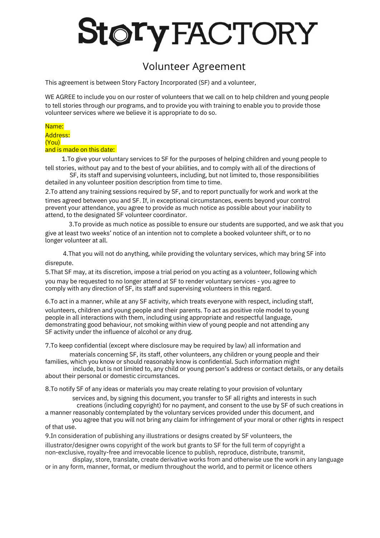# toryFACTORY

## Volunteer Agreement

This agreement is between Story Factory Incorporated (SF) and a volunteer,

WE AGREE to include you on our roster of volunteers that we call on to help children and young people to tell stories through our programs, and to provide you with training to enable you to provide those volunteer services where we believe it is appropriate to do so.

### Name:

#### Address: (You) and is made on this date:

1.To give your voluntary services to SF for the purposes of helping children and young people to tell stories, without pay and to the best of your abilities, and to comply with all of the directions of

SF, its staff and supervising volunteers, including, but not limited to, those responsibilities detailed in any volunteer position description from time to time.

2.To attend any training sessions required by SF, and to report punctually for work and work at the times agreed between you and SF. If, in exceptional circumstances, events beyond your control prevent your attendance, you agree to provide as much notice as possible about your inability to attend, to the designated SF volunteer coordinator.

3.To provide as much notice as possible to ensure our students are supported, and we ask that you give at least two weeks' notice of an intention not to complete a booked volunteer shift, or to no longer volunteer at all.

4.That you will not do anything, while providing the voluntary services, which may bring SF into disrepute.

5.That SF may, at its discretion, impose a trial period on you acting as a volunteer, following which you may be requested to no longer attend at SF to render voluntary services - you agree to comply with any direction of SF, its staff and supervising volunteers in this regard.

6.To act in a manner, while at any SF activity, which treats everyone with respect, including staff, volunteers, children and young people and their parents. To act as positive role model to young people in all interactions with them, including using appropriate and respectful language, demonstrating good behaviour, not smoking within view of young people and not attending any SF activity under the influence of alcohol or any drug.

7.To keep confidential (except where disclosure may be required by law) all information and

materials concerning SF, its staff, other volunteers, any children or young people and their families, which you know or should reasonably know is confidential. Such information might

include, but is not limited to, any child or young person's address or contact details, or any details about their personal or domestic circumstances.

8.To notify SF of any ideas or materials you may create relating to your provision of voluntary

services and, by signing this document, you transfer to SF all rights and interests in such creations (including copyright) for no payment, and consent to the use by SF of such creations in a manner reasonably contemplated by the voluntary services provided under this document, and

you agree that you will not bring any claim for infringement of your moral or other rights in respect of that use.

9.In consideration of publishing any illustrations or designs created by SF volunteers, the

illustrator/designer owns copyright of the work but grants to SF for the full term of copyright a non-exclusive, royalty-free and irrevocable licence to publish, reproduce, distribute, transmit,

display, store, translate, create derivative works from and otherwise use the work in any language or in any form, manner, format, or medium throughout the world, and to permit or licence others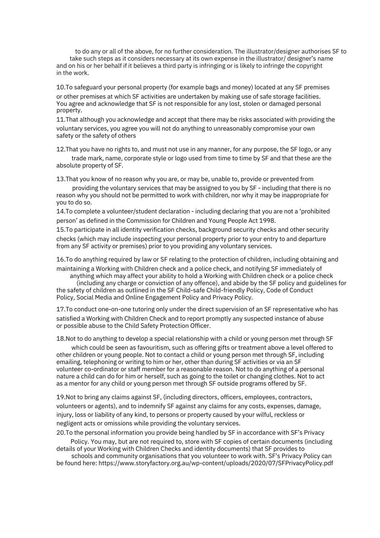to do any or all of the above, for no further consideration. The illustrator/designer authorises SF to take such steps as it considers necessary at its own expense in the illustrator/ designer's name and on his or her behalf if it believes a third party is infringing or is likely to infringe the copyright in the work.

10.To safeguard your personal property (for example bags and money) located at any SF premises or other premises at which SF activities are undertaken by making use of safe storage facilities. You agree and acknowledge that SF is not responsible for any lost, stolen or damaged personal property.

11.That although you acknowledge and accept that there may be risks associated with providing the voluntary services, you agree you will not do anything to unreasonably compromise your own safety or the safety of others

12.That you have no rights to, and must not use in any manner, for any purpose, the SF logo, or any trade mark, name, corporate style or logo used from time to time by SF and that these are the absolute property of SF.

13.That you know of no reason why you are, or may be, unable to, provide or prevented from

providing the voluntary services that may be assigned to you by SF - including that there is no reason why you should not be permitted to work with children, nor why it may be inappropriate for you to do so.

14.To complete a volunteer/student declaration - including declaring that you are not a 'prohibited person' as defined in the Commission for Children and Young People Act 1998.

15.To participate in all identity verification checks, background security checks and other security checks (which may include inspecting your personal property prior to your entry to and departure from any SF activity or premises) prior to you providing any voluntary services.

16.To do anything required by law or SF relating to the protection of children, including obtaining and maintaining a Working with Children check and a police check, and notifying SF immediately of

anything which may affect your ability to hold a Working with Children check or a police check (including any charge or conviction of any offence), and abide by the SF policy and guidelines for the safety of children as outlined in the SF Child-safe Child-friendly Policy, Code of Conduct Policy, Social Media and Online Engagement Policy and Privacy Policy.

17.To conduct one-on-one tutoring only under the direct supervision of an SF representative who has satisfied a Working with Children Check and to report promptly any suspected instance of abuse or possible abuse to the Child Safety Protection Officer.

18.Not to do anything to develop a special relationship with a child or young person met through SF

which could be seen as favouritism, such as offering gifts or treatment above a level offered to other children or young people. Not to contact a child or young person met through SF, including emailing, telephoning or writing to him or her, other than during SF activities or via an SF volunteer co-ordinator or staff member for a reasonable reason. Not to do anything of a personal nature a child can do for him or herself, such as going to the toilet or changing clothes. Not to act as a mentor for any child or young person met through SF outside programs offered by SF.

19.Not to bring any claims against SF, (including directors, officers, employees, contractors, volunteers or agents), and to indemnify SF against any claims for any costs, expenses, damage, injury, loss or liability of any kind, to persons or property caused by your wilful, reckless or negligent acts or omissions while providing the voluntary services.

20.To the personal information you provide being handled by SF in accordance with SF's Privacy

Policy. You may, but are not required to, store with SF copies of certain documents (including details of your Working with Children Checks and identity documents) that SF provides to

schools and community [organisations](https://www.storyfactory.org.au/wp-content/uploads/2020/07/SFPrivacyPolicy.pdf) that you volunteer to work with. SF's Privacy Policy can be found here: <https://www.storyfactory.org.au/wp-content/uploads/2020/07/SFPrivacyPolicy.pdf>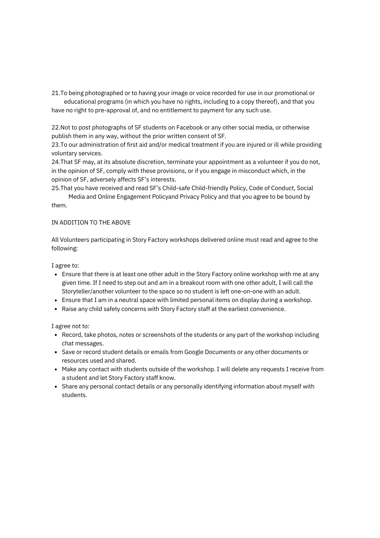21.To being photographed or to having your image or voice recorded for use in our promotional or educational programs (in which you have no rights, including to a copy thereof), and that you have no right to pre-approval of, and no entitlement to payment for any such use.

22.Not to post photographs of SF students on Facebook or any other social media, or otherwise publish them in any way, without the prior written consent of SF.

23.To our administration of first aid and/or medical treatment if you are injured or ill while providing voluntary services.

24.That SF may, at its absolute discretion, terminate your appointment as a volunteer if you do not, in the opinion of SF, comply with these provisions, or if you engage in misconduct which, in the opinion of SF, adversely affects SF's interests.

25.That you have received and read SF's Child-safe Child-friendly Policy, Code of Conduct, Social

Media and Online Engagement Policyand Privacy Policy and that you agree to be bound by them.

#### IN ADDITION TO THE ABOVE

All Volunteers participating in Story Factory workshops delivered online must read and agree to the following:

I agree to:

- Ensure that there is at least one other adult in the Story Factory online workshop with me at any given time. If I need to step out and am in a breakout room with one other adult, I will call the Storyteller/another volunteer to the space so no student is left one-on-one with an adult.
- Ensure that I am in a neutral space with limited personal items on display during a workshop.
- Raise any child safety concerns with Story Factory staff at the earliest convenience.

I agree not to:

- Record, take photos, notes or screenshots of the students or any part of the workshop including chat messages.
- Save or record student details or emails from Google Documents or any other documents or resources used and shared.
- Make any contact with students outside of the workshop. I will delete any requests I receive from a student and let Story Factory staff know.
- Share any personal contact details or any personally identifying information about myself with students.